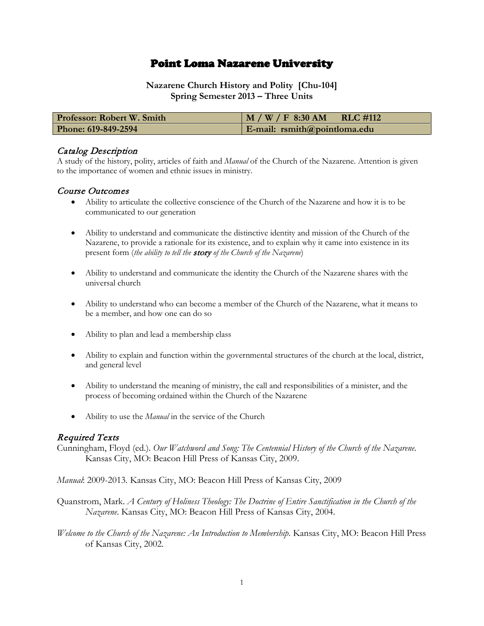# Point Loma Nazarene University

**Nazarene Church History and Polity [Chu-104] Spring Semester 2013 – Three Units**

| <b>Professor: Robert W. Smith</b> | $M / W / F$ 8:30 AM RLC #112    |
|-----------------------------------|---------------------------------|
| Phone: 619-849-2594               | $E$ -mail: rsmith@pointloma.edu |

### Catalog Description

A study of the history, polity, articles of faith and *Manual* of the Church of the Nazarene. Attention is given to the importance of women and ethnic issues in ministry.

#### Course Outcomes

- Ability to articulate the collective conscience of the Church of the Nazarene and how it is to be communicated to our generation
- Ability to understand and communicate the distinctive identity and mission of the Church of the Nazarene, to provide a rationale for its existence, and to explain why it came into existence in its present form (*the ability to tell the* story *of the Church of the Nazarene*)
- Ability to understand and communicate the identity the Church of the Nazarene shares with the universal church
- Ability to understand who can become a member of the Church of the Nazarene, what it means to be a member, and how one can do so
- Ability to plan and lead a membership class
- Ability to explain and function within the governmental structures of the church at the local, district, and general level
- Ability to understand the meaning of ministry, the call and responsibilities of a minister, and the process of becoming ordained within the Church of the Nazarene
- Ability to use the *Manual* in the service of the Church

#### Required Texts

Cunningham, Floyd (ed.). *Our Watchword and Song: The Centennial History of the Church of the Nazarene*. Kansas City, MO: Beacon Hill Press of Kansas City, 2009.

*Manual*: 2009-2013*.* Kansas City, MO: Beacon Hill Press of Kansas City, 2009

Quanstrom, Mark. *A Century of Holiness Theology: The Doctrine of Entire Sanctification in the Church of the Nazarene*. Kansas City, MO: Beacon Hill Press of Kansas City, 2004.

*Welcome to the Church of the Nazarene: An Introduction to Membership*. Kansas City, MO: Beacon Hill Press of Kansas City, 2002.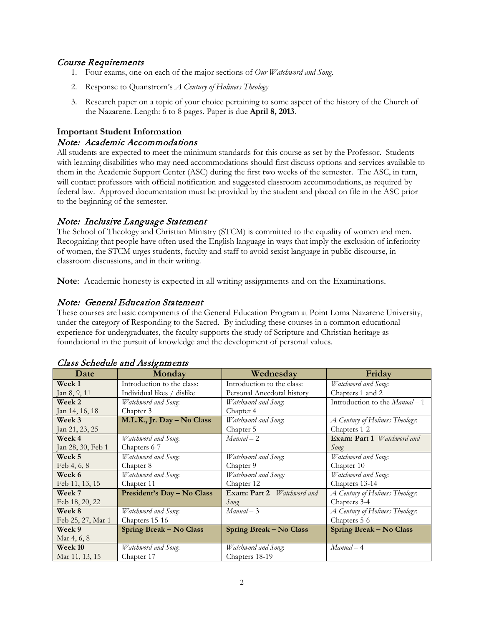### Course Requirements

- 1. Four exams, one on each of the major sections of *Our Watchword and Song*.
- 2. Response to Quanstrom's *A Century of Holiness Theology*
- 3. Research paper on a topic of your choice pertaining to some aspect of the history of the Church of the Nazarene. Length: 6 to 8 pages. Paper is due **April 8, 2013**.

# **Important Student Information** Note: Academic Accommodations

All students are expected to meet the minimum standards for this course as set by the Professor. Students with learning disabilities who may need accommodations should first discuss options and services available to them in the Academic Support Center (ASC) during the first two weeks of the semester. The ASC, in turn, will contact professors with official notification and suggested classroom accommodations, as required by federal law. Approved documentation must be provided by the student and placed on file in the ASC prior to the beginning of the semester.

## Note: Inclusive Language Statement

The School of Theology and Christian Ministry (STCM) is committed to the equality of women and men. Recognizing that people have often used the English language in ways that imply the exclusion of inferiority of women, the STCM urges students, faculty and staff to avoid sexist language in public discourse, in classroom discussions, and in their writing.

**Note**: Academic honesty is expected in all writing assignments and on the Examinations.

### Note: General Education Statement

These courses are basic components of the General Education Program at Point Loma Nazarene University, under the category of Responding to the Sacred. By including these courses in a common educational experience for undergraduates, the faculty supports the study of Scripture and Christian heritage as foundational in the pursuit of knowledge and the development of personal values.

| Date              | Monday                         | Wednesday                         | Friday                            |
|-------------------|--------------------------------|-----------------------------------|-----------------------------------|
| Week 1            | Introduction to the class:     | Introduction to the class:        | Watchword and Song:               |
| Jan 8, 9, 11      | Individual likes / dislike     | Personal Anecdotal history        | Chapters 1 and 2                  |
| <b>Week 2</b>     | Watchword and Song.            | Watchword and Song:               | Introduction to the Manual-1      |
| Jan 14, 16, 18    | Chapter 3                      | Chapter 4                         |                                   |
| Week 3            | M.L.K., Jr. Day - No Class     | Watchword and Song.               | A Century of Holiness Theology:   |
| Jan 21, 23, 25    |                                | Chapter 5                         | Chapters 1-2                      |
| Week 4            | Watchword and Song.            | $Manual-2$                        | Exam: Part 1 <i>Watchword and</i> |
| Jan 28, 30, Feb 1 | Chapters 6-7                   |                                   | Song                              |
| Week 5            | Watchword and Song.            | Watchword and Song:               | Watchword and Song.               |
| Feb 4, 6, 8       | Chapter 8                      | Chapter 9                         | Chapter 10                        |
| Week 6            | Watchword and Song.            | Watchword and Song:               | Watchword and Song:               |
| Feb 11, 13, 15    | Chapter 11                     | Chapter 12                        | Chapters 13-14                    |
| Week 7            | President's Day - No Class     | Exam: Part 2 <i>Watchword and</i> | A Century of Holiness Theology:   |
| Feb 18, 20, 22    |                                | Song                              | Chapters 3-4                      |
| Week 8            | Watchword and Song.            | $Manual-3$                        | A Century of Holiness Theology:   |
| Feb 25, 27, Mar 1 | Chapters 15-16                 |                                   | Chapters 5-6                      |
| Week 9            | <b>Spring Break - No Class</b> | <b>Spring Break - No Class</b>    | <b>Spring Break - No Class</b>    |
| Mar 4, 6, 8       |                                |                                   |                                   |
| Week 10           | Watchword and Song.            | Watchword and Song.               | $Manual - 4$                      |
| Mar 11, 13, 15    | Chapter 17                     | Chapters 18-19                    |                                   |

#### Class Schedule and Assignments